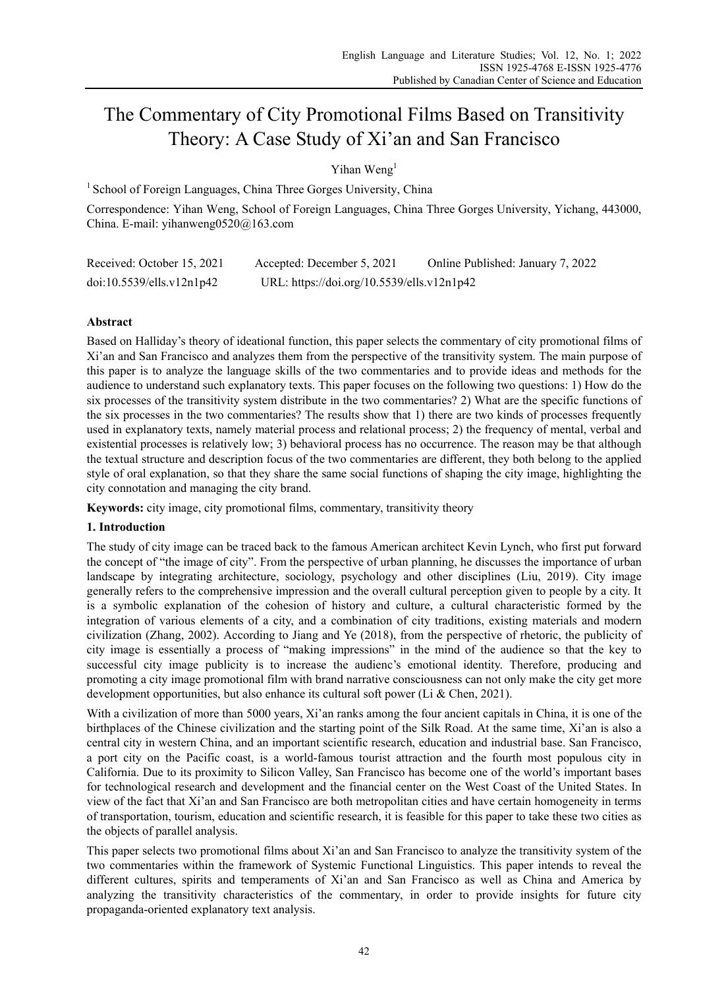# The Commentary of City Promotional Films Based on Transitivity Theory: A Case Study of Xi'an and San Francisco

# Yihan Weng<sup>1</sup>

<sup>1</sup> School of Foreign Languages, China Three Gorges University, China

Correspondence: Yihan Weng, School of Foreign Languages, China Three Gorges University, Yichang, 443000, China. E-mail: yihanweng0520@163.com

| Received: October 15, 2021 | Accepted: December 5, 2021                 | Online Published: January 7, 2022 |
|----------------------------|--------------------------------------------|-----------------------------------|
| doi:10.5539/ells.v12n1p42  | URL: https://doi.org/10.5539/ells.v12n1p42 |                                   |

# **Abstract**

Based on Halliday's theory of ideational function, this paper selects the commentary of city promotional films of Xi'an and San Francisco and analyzes them from the perspective of the transitivity system. The main purpose of this paper is to analyze the language skills of the two commentaries and to provide ideas and methods for the audience to understand such explanatory texts. This paper focuses on the following two questions: 1) How do the six processes of the transitivity system distribute in the two commentaries? 2) What are the specific functions of the six processes in the two commentaries? The results show that 1) there are two kinds of processes frequently used in explanatory texts, namely material process and relational process; 2) the frequency of mental, verbal and existential processes is relatively low; 3) behavioral process has no occurrence. The reason may be that although the textual structure and description focus of the two commentaries are different, they both belong to the applied style of oral explanation, so that they share the same social functions of shaping the city image, highlighting the city connotation and managing the city brand.

**Keywords:** city image, city promotional films, commentary, transitivity theory

# **1. Introduction**

The study of city image can be traced back to the famous American architect Kevin Lynch, who first put forward the concept of "the image of city". From the perspective of urban planning, he discusses the importance of urban landscape by integrating architecture, sociology, psychology and other disciplines (Liu, 2019). City image generally refers to the comprehensive impression and the overall cultural perception given to people by a city. It is a symbolic explanation of the cohesion of history and culture, a cultural characteristic formed by the integration of various elements of a city, and a combination of city traditions, existing materials and modern civilization (Zhang, 2002). According to Jiang and Ye (2018), from the perspective of rhetoric, the publicity of city image is essentially a process of "making impressions" in the mind of the audience so that the key to successful city image publicity is to increase the audienc's emotional identity. Therefore, producing and promoting a city image promotional film with brand narrative consciousness can not only make the city get more development opportunities, but also enhance its cultural soft power (Li & Chen, 2021).

With a civilization of more than 5000 years, Xi'an ranks among the four ancient capitals in China, it is one of the birthplaces of the Chinese civilization and the starting point of the Silk Road. At the same time, Xi'an is also a central city in western China, and an important scientific research, education and industrial base. San Francisco, a port city on the Pacific coast, is a world-famous tourist attraction and the fourth most populous city in California. Due to its proximity to Silicon Valley, San Francisco has become one of the world's important bases for technological research and development and the financial center on the West Coast of the United States. In view of the fact that Xi'an and San Francisco are both metropolitan cities and have certain homogeneity in terms of transportation, tourism, education and scientific research, it is feasible for this paper to take these two cities as the objects of parallel analysis.

This paper selects two promotional films about Xi'an and San Francisco to analyze the transitivity system of the two commentaries within the framework of Systemic Functional Linguistics. This paper intends to reveal the different cultures, spirits and temperaments of Xi'an and San Francisco as well as China and America by analyzing the transitivity characteristics of the commentary, in order to provide insights for future city propaganda-oriented explanatory text analysis.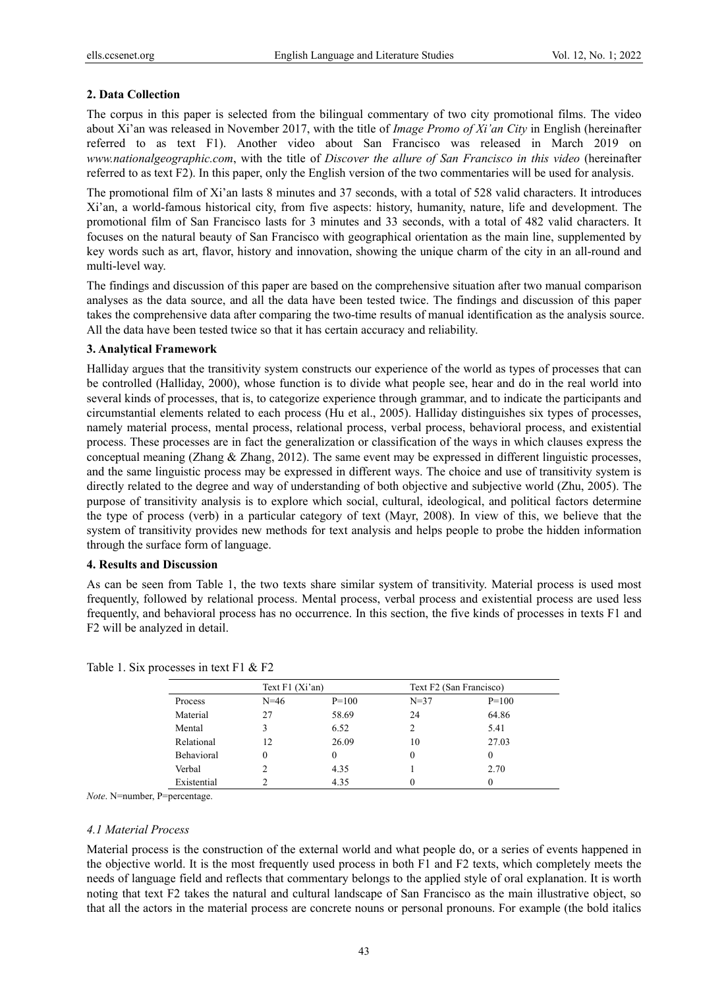#### **2. Data Collection**

The corpus in this paper is selected from the bilingual commentary of two city promotional films. The video about Xi'an was released in November 2017, with the title of *Image Promo of Xi'an City* in English (hereinafter referred to as text F1). Another video about San Francisco was released in March 2019 on *www.nationalgeographic.com*, with the title of *Discover the allure of San Francisco in this video* (hereinafter referred to as text F2). In this paper, only the English version of the two commentaries will be used for analysis.

The promotional film of Xi'an lasts 8 minutes and 37 seconds, with a total of 528 valid characters. It introduces Xi'an, a world-famous historical city, from five aspects: history, humanity, nature, life and development. The promotional film of San Francisco lasts for 3 minutes and 33 seconds, with a total of 482 valid characters. It focuses on the natural beauty of San Francisco with geographical orientation as the main line, supplemented by key words such as art, flavor, history and innovation, showing the unique charm of the city in an all-round and multi-level way.

The findings and discussion of this paper are based on the comprehensive situation after two manual comparison analyses as the data source, and all the data have been tested twice. The findings and discussion of this paper takes the comprehensive data after comparing the two-time results of manual identification as the analysis source. All the data have been tested twice so that it has certain accuracy and reliability.

#### **3. Analytical Framework**

Halliday argues that the transitivity system constructs our experience of the world as types of processes that can be controlled (Halliday, 2000), whose function is to divide what people see, hear and do in the real world into several kinds of processes, that is, to categorize experience through grammar, and to indicate the participants and circumstantial elements related to each process (Hu et al., 2005). Halliday distinguishes six types of processes, namely material process, mental process, relational process, verbal process, behavioral process, and existential process. These processes are in fact the generalization or classification of the ways in which clauses express the conceptual meaning (Zhang  $\&$  Zhang, 2012). The same event may be expressed in different linguistic processes, and the same linguistic process may be expressed in different ways. The choice and use of transitivity system is directly related to the degree and way of understanding of both objective and subjective world (Zhu, 2005). The purpose of transitivity analysis is to explore which social, cultural, ideological, and political factors determine the type of process (verb) in a particular category of text (Mayr, 2008). In view of this, we believe that the system of transitivity provides new methods for text analysis and helps people to probe the hidden information through the surface form of language.

#### **4. Results and Discussion**

As can be seen from Table 1, the two texts share similar system of transitivity. Material process is used most frequently, followed by relational process. Mental process, verbal process and existential process are used less frequently, and behavioral process has no occurrence. In this section, the five kinds of processes in texts F1 and F2 will be analyzed in detail.

|                   | Text $F1$ (Xi'an) |         | Text F2 (San Francisco) |         |  |
|-------------------|-------------------|---------|-------------------------|---------|--|
| Process           | $N = 46$          | $P=100$ | $N = 37$                | $P=100$ |  |
| Material          | 27                | 58.69   | 24                      | 64.86   |  |
| Mental            |                   | 6.52    | 2                       | 5.41    |  |
| Relational        | 12                | 26.09   | 10                      | 27.03   |  |
| <b>Behavioral</b> |                   |         |                         | 0       |  |
| Verbal            | C                 | 4.35    |                         | 2.70    |  |
| Existential       |                   | 4.35    |                         | 0       |  |

Table 1. Six processes in text F1 & F2

*Note*. N=number, P=percentage.

#### *4.1 Material Process*

Material process is the construction of the external world and what people do, or a series of events happened in the objective world. It is the most frequently used process in both F1 and F2 texts, which completely meets the needs of language field and reflects that commentary belongs to the applied style of oral explanation. It is worth noting that text F2 takes the natural and cultural landscape of San Francisco as the main illustrative object, so that all the actors in the material process are concrete nouns or personal pronouns. For example (the bold italics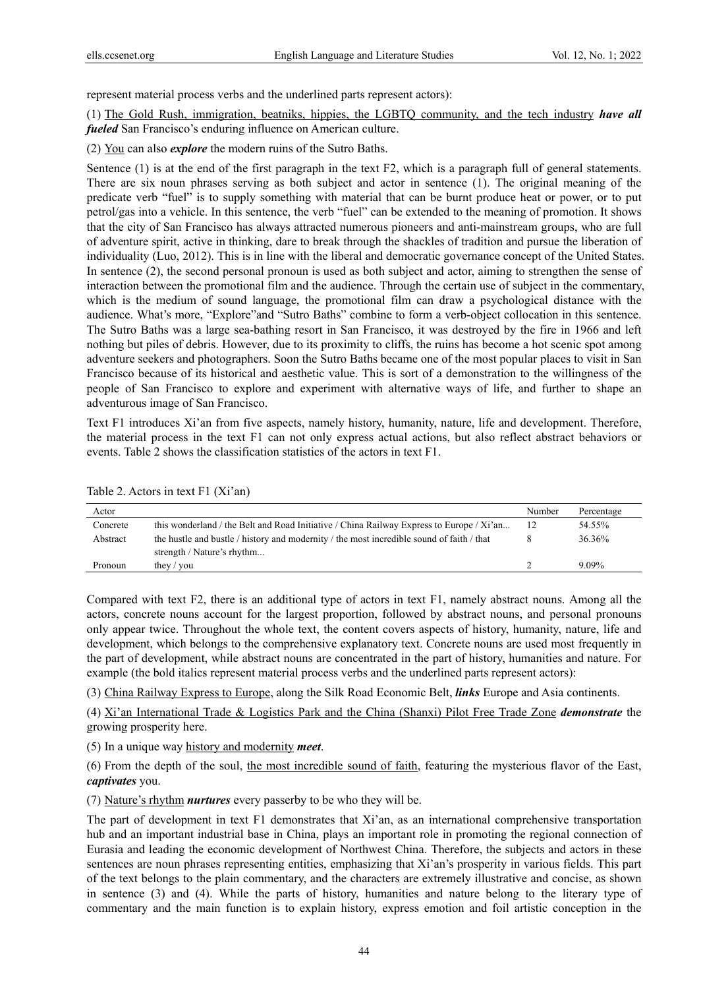represent material process verbs and the underlined parts represent actors):

(1) The Gold Rush, immigration, beatniks, hippies, the LGBTQ community, and the tech industry *have all fueled* San Francisco's enduring influence on American culture.

(2) You can also *explore* the modern ruins of the Sutro Baths.

Sentence (1) is at the end of the first paragraph in the text F2, which is a paragraph full of general statements. There are six noun phrases serving as both subject and actor in sentence (1). The original meaning of the predicate verb "fuel" is to supply something with material that can be burnt produce heat or power, or to put petrol/gas into a vehicle. In this sentence, the verb "fuel" can be extended to the meaning of promotion. It shows that the city of San Francisco has always attracted numerous pioneers and anti-mainstream groups, who are full of adventure spirit, active in thinking, dare to break through the shackles of tradition and pursue the liberation of individuality (Luo, 2012). This is in line with the liberal and democratic governance concept of the United States. In sentence (2), the second personal pronoun is used as both subject and actor, aiming to strengthen the sense of interaction between the promotional film and the audience. Through the certain use of subject in the commentary, which is the medium of sound language, the promotional film can draw a psychological distance with the audience. What's more, "Explore"and "Sutro Baths" combine to form a verb-object collocation in this sentence. The Sutro Baths was a large sea-bathing resort in San Francisco, it was destroyed by the fire in 1966 and left nothing but piles of debris. However, due to its proximity to cliffs, the ruins has become a hot scenic spot among adventure seekers and photographers. Soon the Sutro Baths became one of the most popular places to visit in San Francisco because of its historical and aesthetic value. This is sort of a demonstration to the willingness of the people of San Francisco to explore and experiment with alternative ways of life, and further to shape an adventurous image of San Francisco.

Text F1 introduces Xi'an from five aspects, namely history, humanity, nature, life and development. Therefore, the material process in the text F1 can not only express actual actions, but also reflect abstract behaviors or events. Table 2 shows the classification statistics of the actors in text F1.

| Table 2. Actors in text F1 (Xi'an) |  |
|------------------------------------|--|
| Actor                              |  |

| Actor    |                                                                                           | Number | Percentage |
|----------|-------------------------------------------------------------------------------------------|--------|------------|
| Concrete | this wonderland / the Belt and Road Initiative / China Railway Express to Europe / Xi'an  | 12     | 54.55%     |
| Abstract | the hustle and bustle / history and modernity / the most incredible sound of faith / that |        | 36.36%     |
|          | strength / Nature's rhythm                                                                |        |            |
| Pronoun  | they $/$ you                                                                              |        | $9.09\%$   |

Compared with text F2, there is an additional type of actors in text F1, namely abstract nouns. Among all the actors, concrete nouns account for the largest proportion, followed by abstract nouns, and personal pronouns only appear twice. Throughout the whole text, the content covers aspects of history, humanity, nature, life and development, which belongs to the comprehensive explanatory text. Concrete nouns are used most frequently in the part of development, while abstract nouns are concentrated in the part of history, humanities and nature. For example (the bold italics represent material process verbs and the underlined parts represent actors):

(3) China Railway Express to Europe, along the Silk Road Economic Belt, *links* Europe and Asia continents.

(4) Xi'an International Trade & Logistics Park and the China (Shanxi) Pilot Free Trade Zone *demonstrate* the growing prosperity here.

(5) In a unique way history and modernity *meet*.

(6) From the depth of the soul, the most incredible sound of faith, featuring the mysterious flavor of the East, *captivates* you.

(7) Nature's rhythm *nurtures* every passerby to be who they will be.

The part of development in text F1 demonstrates that Xi'an, as an international comprehensive transportation hub and an important industrial base in China, plays an important role in promoting the regional connection of Eurasia and leading the economic development of Northwest China. Therefore, the subjects and actors in these sentences are noun phrases representing entities, emphasizing that Xi'an's prosperity in various fields. This part of the text belongs to the plain commentary, and the characters are extremely illustrative and concise, as shown in sentence (3) and (4). While the parts of history, humanities and nature belong to the literary type of commentary and the main function is to explain history, express emotion and foil artistic conception in the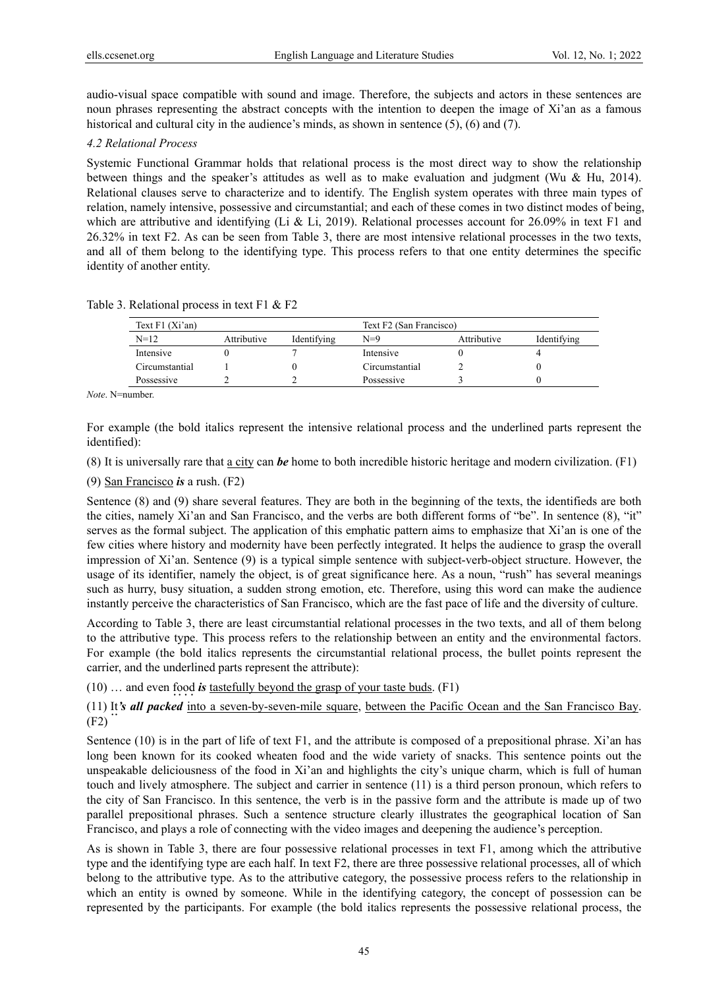audio-visual space compatible with sound and image. Therefore, the subjects and actors in these sentences are noun phrases representing the abstract concepts with the intention to deepen the image of Xi'an as a famous historical and cultural city in the audience's minds, as shown in sentence (5), (6) and (7).

# *4.2 Relational Process*

Systemic Functional Grammar holds that relational process is the most direct way to show the relationship between things and the speaker's attitudes as well as to make evaluation and judgment (Wu & Hu, 2014). Relational clauses serve to characterize and to identify. The English system operates with three main types of relation, namely intensive, possessive and circumstantial; and each of these comes in two distinct modes of being, which are attributive and identifying (Li & Li, 2019). Relational processes account for 26.09% in text F1 and 26.32% in text F2. As can be seen from Table 3, there are most intensive relational processes in the two texts, and all of them belong to the identifying type. This process refers to that one entity determines the specific identity of another entity.

Table 3. Relational process in text F1 & F2

| Text $F1$ (Xi'an) |             |             | Text F2 (San Francisco) |             |             |
|-------------------|-------------|-------------|-------------------------|-------------|-------------|
| $N=12$            | Attributive | Identifying | $N=9$                   | Attributive | Identifying |
| Intensive         |             |             | Intensive               |             |             |
| Circumstantial    |             |             | Circumstantial          |             |             |
| Possessive        |             |             | Possessive              |             |             |

*Note*. N=number.

For example (the bold italics represent the intensive relational process and the underlined parts represent the identified):

(8) It is universally rare that a city can *be* home to both incredible historic heritage and modern civilization. (F1)

(9) San Francisco *is* a rush. (F2)

Sentence (8) and (9) share several features. They are both in the beginning of the texts, the identifieds are both the cities, namely Xi'an and San Francisco, and the verbs are both different forms of "be". In sentence (8), "it" serves as the formal subject. The application of this emphatic pattern aims to emphasize that Xi'an is one of the few cities where history and modernity have been perfectly integrated. It helps the audience to grasp the overall impression of Xi'an. Sentence (9) is a typical simple sentence with subject-verb-object structure. However, the usage of its identifier, namely the object, is of great significance here. As a noun, "rush" has several meanings such as hurry, busy situation, a sudden strong emotion, etc. Therefore, using this word can make the audience instantly perceive the characteristics of San Francisco, which are the fast pace of life and the diversity of culture.

According to Table 3, there are least circumstantial relational processes in the two texts, and all of them belong to the attributive type. This process refers to the relationship between an entity and the environmental factors. For example (the bold italics represents the circumstantial relational process, the bullet points represent the carrier, and the underlined parts represent the attribute):

 $(10)$  ... and even food *is* tastefully beyond the grasp of your taste buds.  $(F1)$ 

# (11) It's all packed into a seven-by-seven-mile square, between the Pacific Ocean and the San Francisco Bay. (F2)

Sentence (10) is in the part of life of text F1, and the attribute is composed of a prepositional phrase. Xi'an has long been known for its cooked wheaten food and the wide variety of snacks. This sentence points out the unspeakable deliciousness of the food in Xi'an and highlights the city's unique charm, which is full of human touch and lively atmosphere. The subject and carrier in sentence (11) is a third person pronoun, which refers to the city of San Francisco. In this sentence, the verb is in the passive form and the attribute is made up of two parallel prepositional phrases. Such a sentence structure clearly illustrates the geographical location of San Francisco, and plays a role of connecting with the video images and deepening the audience's perception.

As is shown in Table 3, there are four possessive relational processes in text F1, among which the attributive type and the identifying type are each half. In text F2, there are three possessive relational processes, all of which belong to the attributive type. As to the attributive category, the possessive process refers to the relationship in which an entity is owned by someone. While in the identifying category, the concept of possession can be represented by the participants. For example (the bold italics represents the possessive relational process, the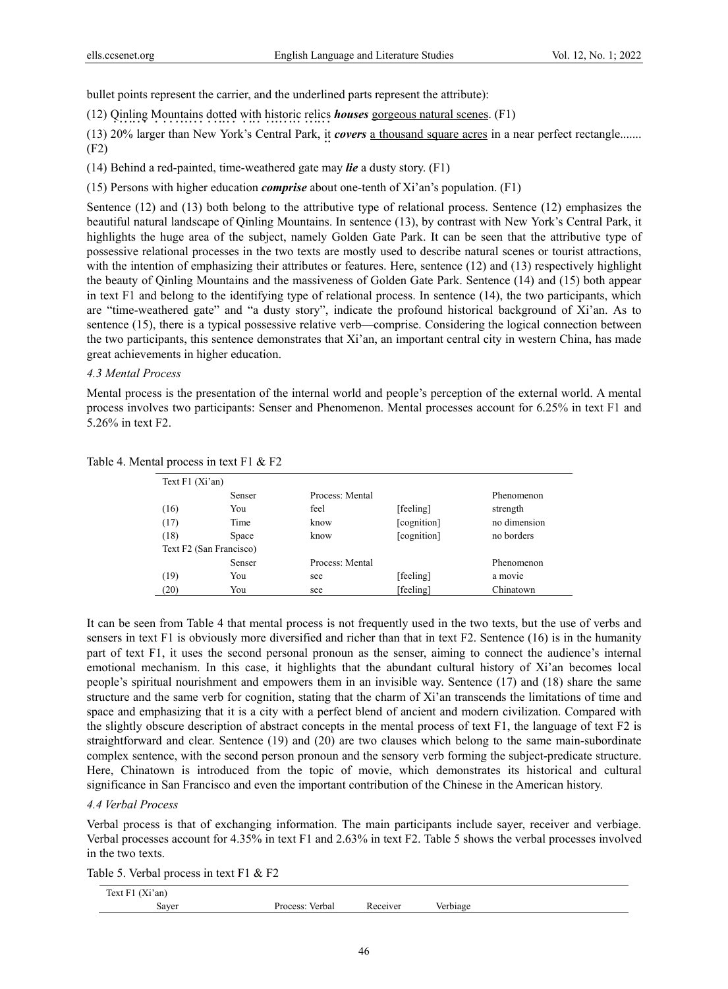bullet points represent the carrier, and the underlined parts represent the attribute):

(12) Qinling Mountains dotted with historic relics **houses** gorgeous natural scenes. (F1)

 $(13)$  20% larger than New York's Central Park, it *covers* a thousand square acres in a near perfect rectangle....... (F2)

(14) Behind a red-painted, time-weathered gate may *lie* a dusty story. (F1)

(15) Persons with higher education *comprise* about one-tenth of Xi'an's population. (F1)

Sentence (12) and (13) both belong to the attributive type of relational process. Sentence (12) emphasizes the beautiful natural landscape of Qinling Mountains. In sentence (13), by contrast with New York's Central Park, it highlights the huge area of the subject, namely Golden Gate Park. It can be seen that the attributive type of possessive relational processes in the two texts are mostly used to describe natural scenes or tourist attractions, with the intention of emphasizing their attributes or features. Here, sentence (12) and (13) respectively highlight the beauty of Qinling Mountains and the massiveness of Golden Gate Park. Sentence (14) and (15) both appear in text F1 and belong to the identifying type of relational process. In sentence (14), the two participants, which are "time-weathered gate" and "a dusty story", indicate the profound historical background of Xi'an. As to sentence (15), there is a typical possessive relative verb—comprise. Considering the logical connection between the two participants, this sentence demonstrates that Xi'an, an important central city in western China, has made great achievements in higher education.

## *4.3 Mental Process*

Mental process is the presentation of the internal world and people's perception of the external world. A mental process involves two participants: Senser and Phenomenon. Mental processes account for 6.25% in text F1 and 5.26% in text F2.

| Table 4. Mental process in text F1 & F2 |  |  |  |
|-----------------------------------------|--|--|--|
|-----------------------------------------|--|--|--|

| Text $F1$ (Xi'an)       |        |                 |             |              |
|-------------------------|--------|-----------------|-------------|--------------|
|                         | Senser | Process: Mental |             | Phenomenon   |
| (16)                    | You    | feel            | [feeling]   | strength     |
| (17)                    | Time   | know            | [cognition] | no dimension |
| (18)                    | Space  | know            | [cognition] | no borders   |
| Text F2 (San Francisco) |        |                 |             |              |
|                         | Senser | Process: Mental |             | Phenomenon   |
| (19)                    | You    | see             | [feeling]   | a movie      |
| (20)                    | You    | see             | [feeling]   | Chinatown    |

It can be seen from Table 4 that mental process is not frequently used in the two texts, but the use of verbs and sensers in text F1 is obviously more diversified and richer than that in text F2. Sentence (16) is in the humanity part of text F1, it uses the second personal pronoun as the senser, aiming to connect the audience's internal emotional mechanism. In this case, it highlights that the abundant cultural history of Xi'an becomes local people's spiritual nourishment and empowers them in an invisible way. Sentence (17) and (18) share the same structure and the same verb for cognition, stating that the charm of Xi'an transcends the limitations of time and space and emphasizing that it is a city with a perfect blend of ancient and modern civilization. Compared with the slightly obscure description of abstract concepts in the mental process of text F1, the language of text F2 is straightforward and clear. Sentence (19) and (20) are two clauses which belong to the same main-subordinate complex sentence, with the second person pronoun and the sensory verb forming the subject-predicate structure. Here, Chinatown is introduced from the topic of movie, which demonstrates its historical and cultural significance in San Francisco and even the important contribution of the Chinese in the American history.

## *4.4 Verbal Process*

Verbal process is that of exchanging information. The main participants include sayer, receiver and verbiage. Verbal processes account for 4.35% in text F1 and 2.63% in text F2. Table 5 shows the verbal processes involved in the two texts.

Table 5. Verbal process in text F1 & F2

| .<br>ПD.<br>lext F1<br>´an)<br>1/2 |                    |           |          |  |
|------------------------------------|--------------------|-----------|----------|--|
| Saver                              | Process:<br>Verbal | R eceiver | verbiage |  |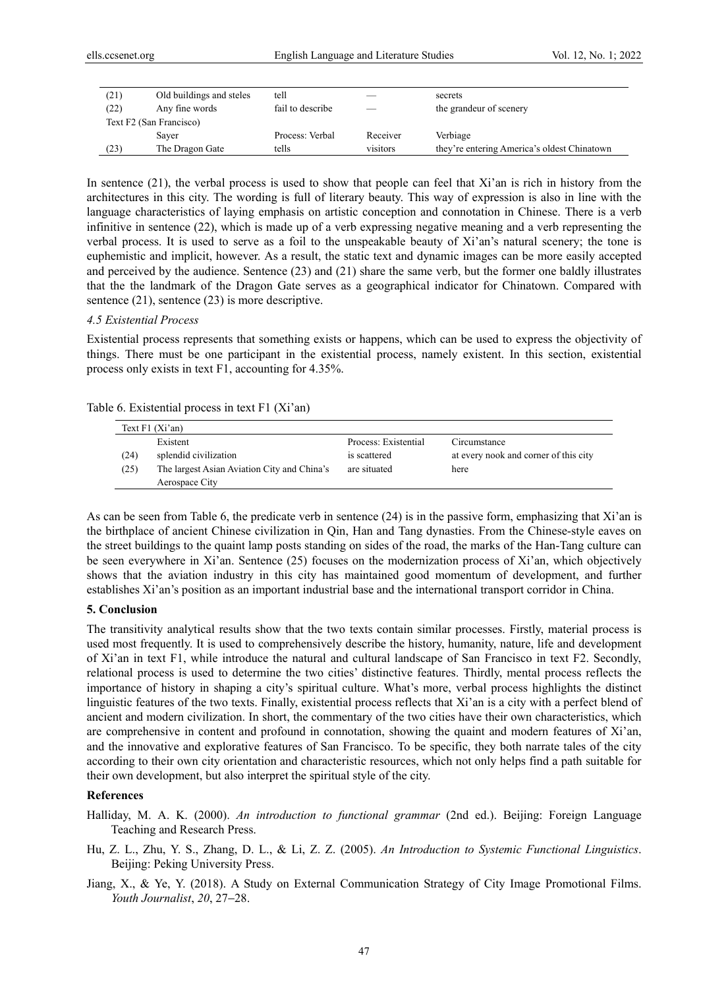| (21) | Old buildings and steles | tell             |          | secrets                                     |
|------|--------------------------|------------------|----------|---------------------------------------------|
| (22) | Any fine words           | fail to describe |          | the grandeur of scenery                     |
|      | Text F2 (San Francisco)  |                  |          |                                             |
|      | Saver                    | Process: Verbal  | Receiver | Verbiage                                    |
| (23) | The Dragon Gate          | tells            | visitors | they're entering America's oldest Chinatown |

In sentence (21), the verbal process is used to show that people can feel that Xi'an is rich in history from the architectures in this city. The wording is full of literary beauty. This way of expression is also in line with the language characteristics of laying emphasis on artistic conception and connotation in Chinese. There is a verb infinitive in sentence (22), which is made up of a verb expressing negative meaning and a verb representing the verbal process. It is used to serve as a foil to the unspeakable beauty of Xi'an's natural scenery; the tone is euphemistic and implicit, however. As a result, the static text and dynamic images can be more easily accepted and perceived by the audience. Sentence (23) and (21) share the same verb, but the former one baldly illustrates that the the landmark of the Dragon Gate serves as a geographical indicator for Chinatown. Compared with sentence (21), sentence (23) is more descriptive.

#### *4.5 Existential Process*

Existential process represents that something exists or happens, which can be used to express the objectivity of things. There must be one participant in the existential process, namely existent. In this section, existential process only exists in text F1, accounting for 4.35%.

Table 6. Existential process in text F1 (Xi'an)

|      | Text $F1$ (Xi'an)                           |                      |                                       |
|------|---------------------------------------------|----------------------|---------------------------------------|
|      | Existent                                    | Process: Existential | Circumstance                          |
| (24) | splendid civilization                       | is scattered         | at every nook and corner of this city |
| (25) | The largest Asian Aviation City and China's | are situated         | here                                  |
|      | Aerospace City                              |                      |                                       |

As can be seen from Table 6, the predicate verb in sentence (24) is in the passive form, emphasizing that Xi'an is the birthplace of ancient Chinese civilization in Qin, Han and Tang dynasties. From the Chinese-style eaves on the street buildings to the quaint lamp posts standing on sides of the road, the marks of the Han-Tang culture can be seen everywhere in Xi'an. Sentence (25) focuses on the modernization process of Xi'an, which objectively shows that the aviation industry in this city has maintained good momentum of development, and further establishes Xi'an's position as an important industrial base and the international transport corridor in China.

## **5. Conclusion**

The transitivity analytical results show that the two texts contain similar processes. Firstly, material process is used most frequently. It is used to comprehensively describe the history, humanity, nature, life and development of Xi'an in text F1, while introduce the natural and cultural landscape of San Francisco in text F2. Secondly, relational process is used to determine the two cities' distinctive features. Thirdly, mental process reflects the importance of history in shaping a city's spiritual culture. What's more, verbal process highlights the distinct linguistic features of the two texts. Finally, existential process reflects that Xi'an is a city with a perfect blend of ancient and modern civilization. In short, the commentary of the two cities have their own characteristics, which are comprehensive in content and profound in connotation, showing the quaint and modern features of Xi'an, and the innovative and explorative features of San Francisco. To be specific, they both narrate tales of the city according to their own city orientation and characteristic resources, which not only helps find a path suitable for their own development, but also interpret the spiritual style of the city.

## **References**

- Halliday, M. A. K. (2000). *An introduction to functional grammar* (2nd ed.). Beijing: Foreign Language Teaching and Research Press.
- Hu, Z. L., Zhu, Y. S., Zhang, D. L., & Li, Z. Z. (2005). *An Introduction to Systemic Functional Linguistics*. Beijing: Peking University Press.
- Jiang, X., & Ye, Y. (2018). A Study on External Communication Strategy of City Image Promotional Films. *Youth Journalist*, *20*, 27−28.